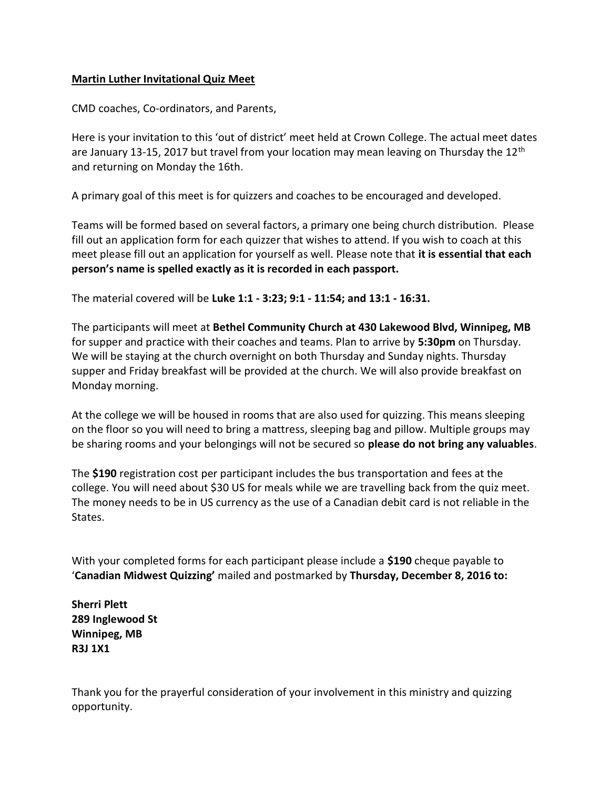## Martin Luther Invitational Quiz Meet

CMD coaches, Co-ordinators, and Parents,

Here is your invitation to this 'out of district' meet held at Crown College. The actual meet dates are January 13-15, 2017 but travel from your location may mean leaving on Thursday the 12<sup>th</sup> and returning on Monday the 16th.

A primary goal of this meet is for quizzers and coaches to be encouraged and developed.

Teams will be formed based on several factors, a primary one being church distribution. Please fill out an application form for each quizzer that wishes to attend. If you wish to coach at this meet please fill out an application for yourself as well. Please note that it is essential that each person's name is spelled exactly as it is recorded in each passport.

The material covered will be Luke 1:1 - 3:23; 9:1 - 11:54; and 13:1 - 16:31.

The participants will meet at Bethel Community Church at 430 Lakewood Blvd, Winnipeg, MB for supper and practice with their coaches and teams. Plan to arrive by 5:30pm on Thursday. We will be staying at the church overnight on both Thursday and Sunday nights. Thursday supper and Friday breakfast will be provided at the church. We will also provide breakfast on Monday morning.

At the college we will be housed in rooms that are also used for quizzing. This means sleeping on the floor so you will need to bring a mattress, sleeping bag and pillow. Multiple groups may be sharing rooms and your belongings will not be secured so please do not bring any valuables.

The \$190 registration cost per participant includes the bus transportation and fees at the college. You will need about \$30 US for meals while we are travelling back from the quiz meet. The money needs to be in US currency as the use of a Canadian debit card is not reliable in the States.

With your completed forms for each participant please include a \$190 cheque payable to 'Canadian Midwest Quizzing' mailed and postmarked by Thursday, December 8, 2016 to:

Sherri Plett 289 Inglewood St Winnipeg, MB R3J 1X1

Thank you for the prayerful consideration of your involvement in this ministry and quizzing opportunity.